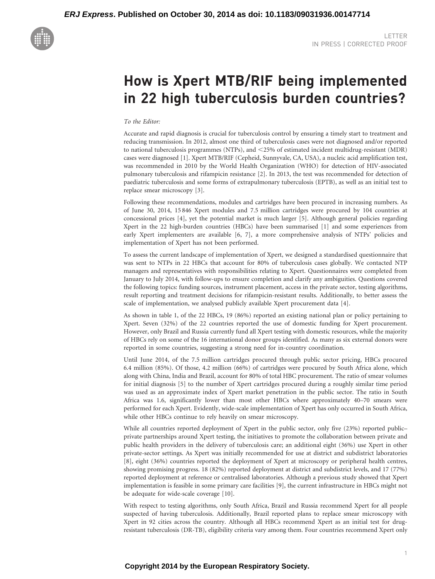

# How is Xpert MTB/RIF being implemented in 22 high tuberculosis burden countries?

## To the Editor:

Accurate and rapid diagnosis is crucial for tuberculosis control by ensuring a timely start to treatment and reducing transmission. In 2012, almost one third of tuberculosis cases were not diagnosed and/or reported to national tuberculosis programmes (NTPs), and  $\leq$  25% of estimated incident multidrug-resistant (MDR) cases were diagnosed [\[1\]](#page-3-0). Xpert MTB/RIF (Cepheid, Sunnyvale, CA, USA), a nucleic acid amplification test, was recommended in 2010 by the World Health Organization (WHO) for detection of HIV-associated pulmonary tuberculosis and rifampicin resistance [\[2\].](#page-3-0) In 2013, the test was recommended for detection of paediatric tuberculosis and some forms of extrapulmonary tuberculosis (EPTB), as well as an initial test to replace smear microscopy [\[3\]](#page-4-0).

Following these recommendations, modules and cartridges have been procured in increasing numbers. As of June 30, 2014, 15 846 Xpert modules and 7.5 million cartridges were procured by 104 countries at concessional prices [\[4\],](#page-4-0) yet the potential market is much larger [\[5\].](#page-4-0) Although general policies regarding Xpert in the 22 high-burden countries (HBCs) have been summarised [\[1\]](#page-3-0) and some experiences from early Xpert implementers are available [\[6, 7\]](#page-4-0), a more comprehensive analysis of NTPs' policies and implementation of Xpert has not been performed.

To assess the current landscape of implementation of Xpert, we designed a standardised questionnaire that was sent to NTPs in 22 HBCs that account for 80% of tuberculosis cases globally. We contacted NTP managers and representatives with responsibilities relating to Xpert. Questionnaires were completed from January to July 2014, with follow-ups to ensure completion and clarify any ambiguities. Questions covered the following topics: funding sources, instrument placement, access in the private sector, testing algorithms, result reporting and treatment decisions for rifampicin-resistant results. Additionally, to better assess the scale of implementation, we analysed publicly available Xpert procurement data [\[4\].](#page-4-0)

As shown in [table 1](#page-1-0), of the 22 HBCs, 19 (86%) reported an existing national plan or policy pertaining to Xpert. Seven (32%) of the 22 countries reported the use of domestic funding for Xpert procurement. However, only Brazil and Russia currently fund all Xpert testing with domestic resources, while the majority of HBCs rely on some of the 16 international donor groups identified. As many as six external donors were reported in some countries, suggesting a strong need for in-country coordination.

Until June 2014, of the 7.5 million cartridges procured through public sector pricing, HBCs procured 6.4 million (85%). Of those, 4.2 million (66%) of cartridges were procured by South Africa alone, which along with China, India and Brazil, account for 80% of total HBC procurement. The ratio of smear volumes for initial diagnosis [\[5\]](#page-4-0) to the number of Xpert cartridges procured during a roughly similar time period was used as an approximate index of Xpert market penetration in the public sector. The ratio in South Africa was 1.6, significantly lower than most other HBCs where approximately 40–70 smears were performed for each Xpert. Evidently, wide-scale implementation of Xpert has only occurred in South Africa, while other HBCs continue to rely heavily on smear microscopy.

While all countries reported deployment of Xpert in the public sector, only five (23%) reported public– private partnerships around Xpert testing, the initiatives to promote the collaboration between private and public health providers in the delivery of tuberculosis care; an additional eight (36%) use Xpert in other private-sector settings. As Xpert was initially recommended for use at district and subdistrict laboratories [\[8\]](#page-4-0), eight (36%) countries reported the deployment of Xpert at microscopy or peripheral health centres, showing promising progress. 18 (82%) reported deployment at district and subdistrict levels, and 17 (77%) reported deployment at reference or centralised laboratories. Although a previous study showed that Xpert implementation is feasible in some primary care facilities [\[9\]](#page-4-0), the current infrastructure in HBCs might not be adequate for wide-scale coverage [\[10\]](#page-4-0).

With respect to testing algorithms, only South Africa, Brazil and Russia recommend Xpert for all people suspected of having tuberculosis. Additionally, Brazil reported plans to replace smear microscopy with Xpert in 92 cities across the country. Although all HBCs recommend Xpert as an initial test for drugresistant tuberculosis (DR-TB), eligibility criteria vary among them. Four countries recommend Xpert only

# **Copyright 2014 by the European Respiratory Society.**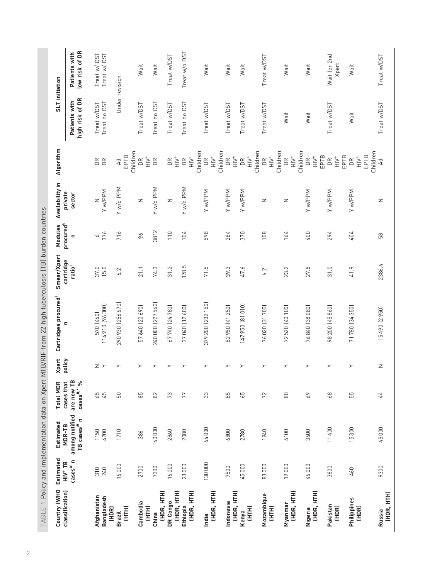<span id="page-1-0"></span>

|                                      |                                           |                                                         |                                            |              | TABLE 1 Policy and implementation data on Xpert MTB/RIF from 22 high tuberculosis (TB) burden countries |                                 |                                         |                   |                                                                               |                                  |                                 |
|--------------------------------------|-------------------------------------------|---------------------------------------------------------|--------------------------------------------|--------------|---------------------------------------------------------------------------------------------------------|---------------------------------|-----------------------------------------|-------------------|-------------------------------------------------------------------------------|----------------------------------|---------------------------------|
| Country (WHO                         | <b>Estimated</b><br>$HIV$ <sup>+</sup> TB | Estimated<br>MDR-TB                                     | <b>Total MDR</b>                           | <b>Xpert</b> | Cartridges procured <sup>5</sup>                                                                        | Smear/Xpert                     | Modules                                 | Availability in   | Algorithm                                                                     | SLT initiation                   |                                 |
| classification)                      | $\csc^{\#}n$                              | among notified<br>$\mathbf{r}$<br>TB cases <sup>#</sup> | are new TB<br>$cases$ $#196$<br>cases that | policy       | $\mathbf{C}$                                                                                            | cartridge<br>ratio <sup>f</sup> | procured <sup>5</sup><br>$\blacksquare$ | private<br>sector |                                                                               | high risk of DR<br>Patients with | low risk of DR<br>Patients with |
| Afghanistan                          | 310                                       | 1150                                                    |                                            | z >          | 570 (460)                                                                                               | 37.0                            | P                                       | Z                 |                                                                               | Treat w/DST                      | Treat w/DST                     |
| Bangladesh<br>(HDR)                  | 240                                       | 4200                                                    | 65<br>45                                   |              | 114910 (96300)                                                                                          | 15.0                            | 376                                     | Y w/PPM           | DR<br>DR                                                                      | Treat no DST                     | TSU,<br>Treat w/                |
| (HTH)<br><b>Brazil</b>               | 16000                                     | 1710                                                    | 50                                         | $\succ$      | 290 930 (256 670)                                                                                       | 6.2                             | 716                                     | Y w/o PPM         | Children<br>EPTB<br>$\equiv$                                                  | Under revision                   |                                 |
| Cambodia<br>(HTH)                    | 2700                                      | 386                                                     | 85                                         | $\succ$      | 57 640 [20 690]                                                                                         | 21.1                            | 96                                      | Z                 | $\stackrel{\scriptscriptstyle +}{\scriptscriptstyle \equiv}$<br>DR            | Treat w/DST                      | Wait                            |
| China                                | 7300                                      | 60000                                                   | $82$                                       | $\succ$      | 240 000 (227 560)                                                                                       | 74.3                            | 3812                                    | Y w/o PPM         | DR                                                                            | Treat no DST                     | Wait                            |
| (HDR, HTH)<br>(HDR, HTH)<br>DR Congo | 16000                                     | 2860                                                    | 73                                         | $\succ$      | 67740 [24780]                                                                                           | 31.2                            | 110                                     | Z                 | $\leq$<br>DR                                                                  | Treat w/DST                      | Treat w/DST                     |
| (HDR, HTH)<br>Ethiopia               | 23000                                     | 2080                                                    | 77                                         | $\succ$      | 37040 (12680)                                                                                           | 378.5                           | 104                                     | Y w/o PPM         | キュエ<br>$\mathop{\mathsf{DR}}$                                                 | Treat no DST                     | Treat w/o DST                   |
| (HDR, HTH)<br>India                  | 130000                                    | 64000                                                   | 33                                         | $\succ$      | 379 200 (232 150)                                                                                       | 71.5                            | 598                                     | Y w/PPM           | Children<br>$\geq$<br>$\mathop{\boxtimes}\limits^{\mathop{\boxtimes}}$        | Treat w/DST                      | Wait                            |
| (HDR, HTH)<br>Indonesia              | 7500                                      | 6800                                                    | 85                                         | $\succ$      | 52 950 (41 250)                                                                                         | 39.3                            | 284                                     | Y w/PPM           | Children<br>$\stackrel{\scriptscriptstyle +}{\geq}$<br>$\mathsf{D}\mathsf{R}$ | Treat w/DST                      | Wait                            |
| (HTH)<br>Kenya                       | 45000                                     | 2780                                                    | 59                                         | ≻            | 147950 [81010]                                                                                          | 47.6                            | 370                                     | Y w/PPM           | $\geq$<br>$\mathsf{D}\mathsf{R}$                                              | Treat w/DST                      | Wait                            |
| Mozambique<br>(HTH)                  | 83000                                     | 1940                                                    | 72                                         | $\succ$      | 76 020 [31 700]                                                                                         | 6.2                             | 108                                     | Z                 | Children<br>$\leq$<br>$\mathsf{D}\mathsf{R}$                                  | Treat w/DST                      | Treat w/DST                     |
| (HDR, HTH)<br>Myanmar                | 19000                                     | 6100                                                    | 80                                         | $\succ$      | 72520 (40 100)                                                                                          | 23.2                            | 164                                     | z                 | Children<br>$\geq$<br>$\mathbb{R}$                                            | Wait                             | Wait                            |
| (HDR, HTH)<br>Nigeria                | 46000                                     | 3600                                                    | 69                                         | $\succ$      | 76 840 (38 080)                                                                                         | 27.8                            | 400                                     | Y w/PPM           | Children<br>EPTB<br>$\leq$<br>DR                                              | Wait                             | Wait                            |
| Pakistan<br>(HDR)                    | 3800                                      | 11400                                                   | 68                                         | $\succ$      | 98 200 (45 860)                                                                                         | 31.0                            | 294                                     | Y w/PPM           | EPTB<br>$\geqq$<br>DR                                                         | Treat w/DST                      | Wait for 2nd<br>Xpert           |
| Philippines<br>(HDR)                 | 460                                       | 15300                                                   | 55                                         | $\succ$      | 71780 [34350]                                                                                           | 41.9                            | 404                                     | Y w/PPM           | EPTB<br>$\leq$<br>$\mathop{\mathsf{D}}$                                       | Wait                             | Wait                            |
| (HDR, HTH)<br>Russia                 | 9300                                      | 45000                                                   | 44                                         | Z            | 15490 (2950)                                                                                            | 2386.4                          | 58                                      | Z                 | Children<br>$\overline{\mathcal{A}}$ ll                                       | Treat w/DST                      | Treat w/DST                     |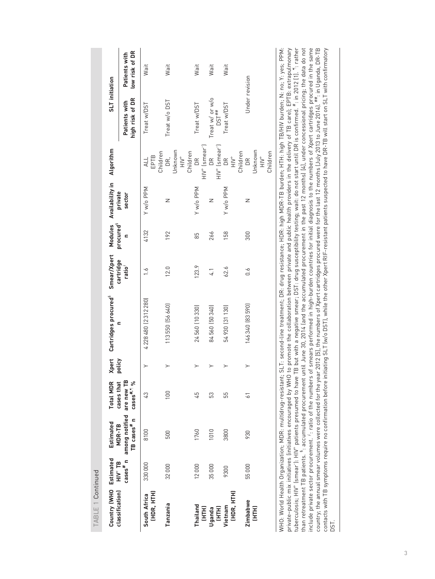| I HDLE I COILINIAE           |                         |                                                                                                                                                                                                                                                                                                                                                               |                                      |                        |                                                                                                                                                                                                                                                                                                                                                                                                                                                                                                                                                                                                                                                                                                                                                                                                                                                                                                                                                                                                                                                                                            |                          |                                  |                            |                                                              |                                        |                                 |
|------------------------------|-------------------------|---------------------------------------------------------------------------------------------------------------------------------------------------------------------------------------------------------------------------------------------------------------------------------------------------------------------------------------------------------------|--------------------------------------|------------------------|--------------------------------------------------------------------------------------------------------------------------------------------------------------------------------------------------------------------------------------------------------------------------------------------------------------------------------------------------------------------------------------------------------------------------------------------------------------------------------------------------------------------------------------------------------------------------------------------------------------------------------------------------------------------------------------------------------------------------------------------------------------------------------------------------------------------------------------------------------------------------------------------------------------------------------------------------------------------------------------------------------------------------------------------------------------------------------------------|--------------------------|----------------------------------|----------------------------|--------------------------------------------------------------|----------------------------------------|---------------------------------|
| Country (WHO                 | Estimated<br>$HIV^+$ TB | Estimated<br>MDR-TB                                                                                                                                                                                                                                                                                                                                           | <b>Total MDR</b><br>cases that       | <b>Xpert</b><br>policy | Cartridges procured <sup>5</sup>                                                                                                                                                                                                                                                                                                                                                                                                                                                                                                                                                                                                                                                                                                                                                                                                                                                                                                                                                                                                                                                           | Smear/Xpert<br>cartridge | Modules<br>procured <sup>§</sup> | Availability in<br>private | Algorithm                                                    | SLT initiation                         |                                 |
| classification)              | $\csc^{\#}n$            | among notified<br>TB cases <sup>#</sup> n                                                                                                                                                                                                                                                                                                                     | are new TB<br>cases <sup>#,1</sup> % |                        |                                                                                                                                                                                                                                                                                                                                                                                                                                                                                                                                                                                                                                                                                                                                                                                                                                                                                                                                                                                                                                                                                            | ratio <sup>;</sup>       | c                                | sector                     |                                                              | high risk of DR<br>Patients with       | low risk of DR<br>Patients with |
| (HDR, HTH)<br>South Africa   | 330000                  | 8100                                                                                                                                                                                                                                                                                                                                                          | 3                                    | $\geq$                 | 4 228 480 (2 3 1 2 2 8 0)                                                                                                                                                                                                                                                                                                                                                                                                                                                                                                                                                                                                                                                                                                                                                                                                                                                                                                                                                                                                                                                                  | $\ddot{\circ}$           | 4132                             | Y w/o PPM                  | Children<br>EPTB<br>$\frac{1}{4}$                            | Treat w/DST                            | Wait                            |
| Tanzania                     | 32000                   | 500                                                                                                                                                                                                                                                                                                                                                           | 100                                  |                        | 113550 [56640]                                                                                                                                                                                                                                                                                                                                                                                                                                                                                                                                                                                                                                                                                                                                                                                                                                                                                                                                                                                                                                                                             | 12.0                     | 192                              | Z                          | Unknown<br>Children<br>キミ<br>DR,                             | Treat w/o DST                          | Wait                            |
| Thailand<br>EHE<br>E         | 12000                   | 1760                                                                                                                                                                                                                                                                                                                                                          | 45                                   |                        | 24560 (10330)                                                                                                                                                                                                                                                                                                                                                                                                                                                                                                                                                                                                                                                                                                                                                                                                                                                                                                                                                                                                                                                                              | 123.9                    | 85                               | Y w/o PPM                  | $HIV^+$ (smear <sup>-</sup> )<br>$\widetilde{\Xi}$           | Treat w/DST                            | Wait                            |
| (HTH)<br>Uganda              | 35000                   | 1010                                                                                                                                                                                                                                                                                                                                                          | S3                                   |                        | 84560 [50340]                                                                                                                                                                                                                                                                                                                                                                                                                                                                                                                                                                                                                                                                                                                                                                                                                                                                                                                                                                                                                                                                              | 4.1                      | 266                              | Z                          | $H/V^+$ (smear <sup>-</sup> )<br>$\mathbb{R}$                | Treat w/ or w/o<br>$DST$ <sup>##</sup> | Wait                            |
| (HDR, HTH)<br>Vietnam        | 9300                    | 3800                                                                                                                                                                                                                                                                                                                                                          | 55                                   |                        | 54 930 [31 130]                                                                                                                                                                                                                                                                                                                                                                                                                                                                                                                                                                                                                                                                                                                                                                                                                                                                                                                                                                                                                                                                            | 62.6                     | 158                              | Y w/o PPM                  | Children<br>キミ<br>$\widetilde{\Xi}$                          | Treat w/DST                            | Wait                            |
| <b>Zimbabwe</b><br>(HH)<br>三 | 55000                   | 930                                                                                                                                                                                                                                                                                                                                                           | $\overline{6}$                       |                        | 146340 [83590]                                                                                                                                                                                                                                                                                                                                                                                                                                                                                                                                                                                                                                                                                                                                                                                                                                                                                                                                                                                                                                                                             | $0.\dot{6}$              | 300                              | Z                          | Unknown<br>Children<br>$\stackrel{\text{+}}{=}$<br>$\approx$ | Under revision                         |                                 |
| DST.                         |                         | include private sector procurement. 1: ratio of the numbers<br>:uberculosis; HIV <sup>+</sup> (smear <sup>-</sup> ): HIV <sup>+</sup> patients presumed to have<br>contacts with TB symptoms require no confirmation before ini<br>private-public mix initiatives linitiatives encouraged by WHO<br>WHO: World Health Organization; MDR: multidrug-resistant; |                                      |                        | than retreatment TB patients. <sup>\$</sup> : accumulated procurement until June 30, 2014 (and the accumulated procurement in the past 12 months) [4], under concessional pricing; the data do not<br>of smears performed in high-burden countries for initial diagnosis to the numbers of Xpert cartridges procured in the same<br>SLT: second-line treatment; DR: drug resistance; HDR: high MDR-TB burden; HTH: high TB/HIV burden; N: no; Y: yes; PPM:<br>'B but with a negative smear; DST: drug susceptibility testing; wait: do not start until DR is confirmed. #: in 2012 [1]. <sup>11</sup> : rather<br>country; the annual smear volumes were collected for the year 2012 [5], the numbers of Xpert cartridges procured were for the last 12 months (July 2013 to June 2014). <sup>##</sup> : in Uganda, DR-TB<br>to promote the collaboration between private and public health providers in the delivery of TB care); EPTB: extrapulmonary<br>tiating SLT (w/o DST), while the other Xpert RIF-resistant patients suspected to have DR-TB will start on SLT with confirmatory |                          |                                  |                            |                                                              |                                        |                                 |

 $T\Delta R$ |  $F$  1 Continued TABLE 1 Continued

3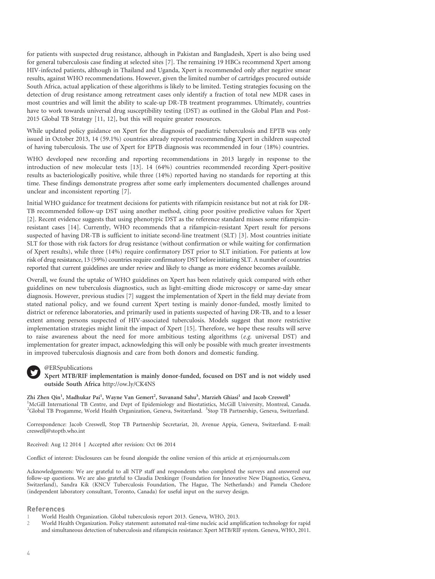<span id="page-3-0"></span>for patients with suspected drug resistance, although in Pakistan and Bangladesh, Xpert is also being used for general tuberculosis case finding at selected sites [\[7\]](#page-4-0). The remaining 19 HBCs recommend Xpert among HIV-infected patients, although in Thailand and Uganda, Xpert is recommended only after negative smear results, against WHO recommendations. However, given the limited number of cartridges procured outside South Africa, actual application of these algorithms is likely to be limited. Testing strategies focusing on the detection of drug resistance among retreatment cases only identify a fraction of total new MDR cases in most countries and will limit the ability to scale-up DR-TB treatment programmes. Ultimately, countries have to work towards universal drug susceptibility testing (DST) as outlined in the Global Plan and Post-2015 Global TB Strategy [\[11, 12\],](#page-4-0) but this will require greater resources.

While updated policy guidance on Xpert for the diagnosis of paediatric tuberculosis and EPTB was only issued in October 2013, 14 (59.1%) countries already reported recommending Xpert in children suspected of having tuberculosis. The use of Xpert for EPTB diagnosis was recommended in four (18%) countries.

WHO developed new recording and reporting recommendations in 2013 largely in response to the introduction of new molecular tests [\[13\].](#page-4-0) 14 (64%) countries recommended recording Xpert-positive results as bacteriologically positive, while three (14%) reported having no standards for reporting at this time. These findings demonstrate progress after some early implementers documented challenges around unclear and inconsistent reporting [\[7\]](#page-4-0).

Initial WHO guidance for treatment decisions for patients with rifampicin resistance but not at risk for DR-TB recommended follow-up DST using another method, citing poor positive predictive values for Xpert [2]. Recent evidence suggests that using phenotypic DST as the reference standard misses some rifampicinresistant cases [\[14\]](#page-4-0). Currently, WHO recommends that a rifampicin-resistant Xpert result for persons suspected of having DR-TB is sufficient to initiate second-line treatment (SLT) [\[3\].](#page-4-0) Most countries initiate SLT for those with risk factors for drug resistance (without confirmation or while waiting for confirmation of Xpert results), while three (14%) require confirmatory DST prior to SLT initiation. For patients at low risk of drug resistance, 13 (59%) countries require confirmatory DST before initiating SLT. A number of countries reported that current guidelines are under review and likely to change as more evidence becomes available.

Overall, we found the uptake of WHO guidelines on Xpert has been relatively quick compared with other guidelines on new tuberculosis diagnostics, such as light-emitting diode microscopy or same-day smear diagnosis. However, previous studies [\[7\]](#page-4-0) suggest the implementation of Xpert in the field may deviate from stated national policy, and we found current Xpert testing is mainly donor-funded, mostly limited to district or reference laboratories, and primarily used in patients suspected of having DR-TB, and to a lesser extent among persons suspected of HIV-associated tuberculosis. Models suggest that more restrictive implementation strategies might limit the impact of Xpert [\[15\]](#page-4-0). Therefore, we hope these results will serve to raise awareness about the need for more ambitious testing algorithms (e.g. universal DST) and implementation for greater impact, acknowledging this will only be possible with much greater investments in improved tuberculosis diagnosis and care from both donors and domestic funding.

#### @ERSpublications

### Xpert MTB/RIF implementation is mainly donor-funded, focused on DST and is not widely used outside South Africa <http://ow.ly/CK4NS>

Zhi Zhen Qin<sup>1</sup>, Madhukar Pai<sup>1</sup>, Wayne Van Gemert<sup>2</sup>, Suvanand Sahu<sup>3</sup>, Marzieh Ghiasi<sup>1</sup> and Jacob Creswell<sup>3</sup> <sup>1</sup>McGill International TB Centre, and Dept of Epidemiology and Biostatistics, McGill University, Montreal, Canada. <sup>2</sup>Global TB Progamme, World Health Organization, Geneva, Switzerland. <sup>3</sup>Stop TB Partnership, Geneva, Switzerland.

Correspondence: Jacob Creswell, Stop TB Partnership Secretariat, 20, Avenue Appia, Geneva, Switzerland. E-mail: creswellj@stoptb.who.int

Received: Aug 12 2014 | Accepted after revision: Oct 06 2014

Conflict of interest: Disclosures can be found alongside the online version of this article at erj.ersjournals.com

Acknowledgements: We are grateful to all NTP staff and respondents who completed the surveys and answered our follow-up questions. We are also grateful to Claudia Denkinger (Foundation for Innovative New Diagnostics, Geneva, Switzerland), Sandra Kik (KNCV Tuberculosis Foundation, The Hague, The Netherlands) and Pamela Chedore (independent laboratory consultant, Toronto, Canada) for useful input on the survey design.

#### References

- 1 World Health Organization. Global tuberculosis report 2013. Geneva, WHO, 2013.
- 2 World Health Organization. Policy statement: automated real-time nucleic acid amplification technology for rapid and simultaneous detection of tuberculosis and rifampicin resistance: Xpert MTB/RIF system. Geneva, WHO, 2011.